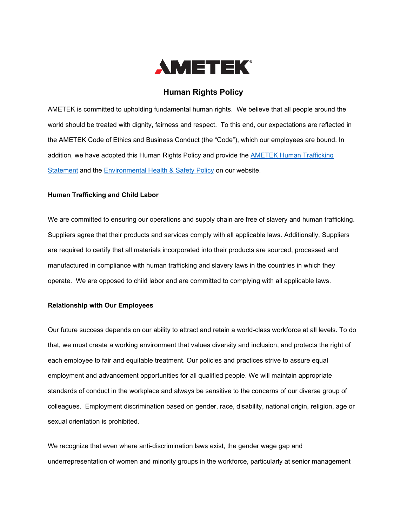

# **Human Rights Policy**

AMETEK is committed to upholding fundamental human rights. We believe that all people around the world should be treated with dignity, fairness and respect. To this end, our expectations are reflected in the AMETEK Code of Ethics and Business Conduct (the "Code"), which our employees are bound. In addition, we have adopted this Human Rights Policy and provide the [AMETEK Human Trafficking](https://investors.ametek.com/index.php/static-files/845114aa-3b6d-4724-96b7-8267b1401bb3)  [Statement](https://investors.ametek.com/index.php/static-files/845114aa-3b6d-4724-96b7-8267b1401bb3) and the [Environmental Health & Safety Policy](https://investors.ametek.com/index.php/static-files/8a77bf14-dec4-4ede-9c09-b2e2d8a1af0f) on our website.

## **Human Trafficking and Child Labor**

We are committed to ensuring our operations and supply chain are free of slavery and human trafficking. Suppliers agree that their products and services comply with all applicable laws. Additionally, Suppliers are required to certify that all materials incorporated into their products are sourced, processed and manufactured in compliance with human trafficking and slavery laws in the countries in which they operate. We are opposed to child labor and are committed to complying with all applicable laws.

#### **Relationship with Our Employees**

Our future success depends on our ability to attract and retain a world-class workforce at all levels. To do that, we must create a working environment that values diversity and inclusion, and protects the right of each employee to fair and equitable treatment. Our policies and practices strive to assure equal employment and advancement opportunities for all qualified people. We will maintain appropriate standards of conduct in the workplace and always be sensitive to the concerns of our diverse group of colleagues. Employment discrimination based on gender, race, disability, national origin, religion, age or sexual orientation is prohibited.

We recognize that even where anti-discrimination laws exist, the gender wage gap and underrepresentation of women and minority groups in the workforce, particularly at senior management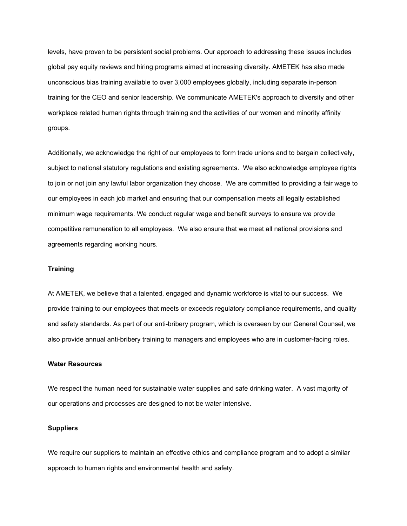levels, have proven to be persistent social problems. Our approach to addressing these issues includes global pay equity reviews and hiring programs aimed at increasing diversity. AMETEK has also made unconscious bias training available to over 3,000 employees globally, including separate in-person training for the CEO and senior leadership. We communicate AMETEK's approach to diversity and other workplace related human rights through training and the activities of our women and minority affinity groups.

Additionally, we acknowledge the right of our employees to form trade unions and to bargain collectively, subject to national statutory regulations and existing agreements. We also acknowledge employee rights to join or not join any lawful labor organization they choose. We are committed to providing a fair wage to our employees in each job market and ensuring that our compensation meets all legally established minimum wage requirements. We conduct regular wage and benefit surveys to ensure we provide competitive remuneration to all employees.We also ensure that we meet all national provisions and agreements regarding working hours.

#### **Training**

At AMETEK, we believe that a talented, engaged and dynamic workforce is vital to our success. We provide training to our employees that meets or exceeds regulatory compliance requirements, and quality and safety standards. As part of our anti-bribery program, which is overseen by our General Counsel, we also provide annual anti-bribery training to managers and employees who are in customer-facing roles.

#### **Water Resources**

We respect the human need for sustainable water supplies and safe drinking water. A vast majority of our operations and processes are designed to not be water intensive.

### **Suppliers**

We require our suppliers to maintain an effective ethics and compliance program and to adopt a similar approach to human rights and environmental health and safety.